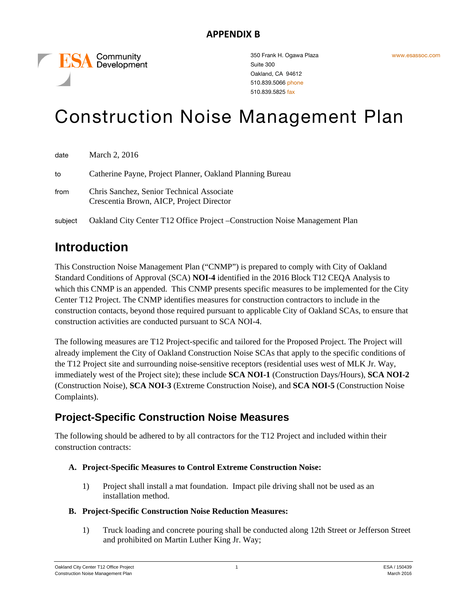Community **ESA** Community

350 Frank H. Ogawa Plaza Suite 300 Oakland, CA 94612 510.839.5066 phone 510.839.5825 fax

# Construction Noise Management Plan

| date    | March 2, 2016                                                                         |
|---------|---------------------------------------------------------------------------------------|
| to      | Catherine Payne, Project Planner, Oakland Planning Bureau                             |
| from    | Chris Sanchez, Senior Technical Associate<br>Crescentia Brown, AICP, Project Director |
| subject | Oakland City Center T12 Office Project – Construction Noise Management Plan           |

## **Introduction**

This Construction Noise Management Plan ("CNMP") is prepared to comply with City of Oakland Standard Conditions of Approval (SCA) **NOI-4** identified in the 2016 Block T12 CEQA Analysis to which this CNMP is an appended. This CNMP presents specific measures to be implemented for the City Center T12 Project. The CNMP identifies measures for construction contractors to include in the construction contacts, beyond those required pursuant to applicable City of Oakland SCAs, to ensure that construction activities are conducted pursuant to SCA NOI-4.

The following measures are T12 Project-specific and tailored for the Proposed Project. The Project will already implement the City of Oakland Construction Noise SCAs that apply to the specific conditions of the T12 Project site and surrounding noise-sensitive receptors (residential uses west of MLK Jr. Way, immediately west of the Project site); these include **SCA NOI-1** (Construction Days/Hours), **SCA NOI-2** (Construction Noise), **SCA NOI-3** (Extreme Construction Noise), and **SCA NOI-5** (Construction Noise Complaints).

### **Project-Specific Construction Noise Measures**

The following should be adhered to by all contractors for the T12 Project and included within their construction contracts:

#### **A. Project-Specific Measures to Control Extreme Construction Noise:**

1) Project shall install a mat foundation. Impact pile driving shall not be used as an installation method.

#### **B. Project-Specific Construction Noise Reduction Measures:**

1) Truck loading and concrete pouring shall be conducted along 12th Street or Jefferson Street and prohibited on Martin Luther King Jr. Way;